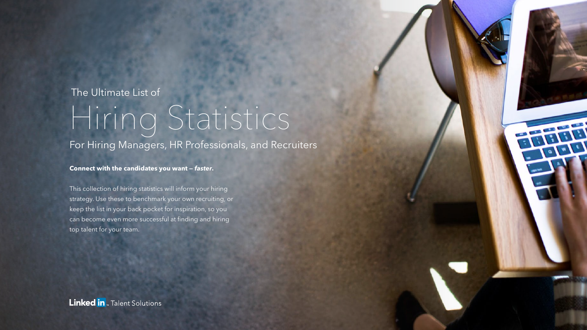#### The Ultimate List of

## Hiring Statistics

For Hiring Managers, HR Professionals, and Recruiters

#### **Connect with the candidates you want — faster.**

This collection of hiring statistics will inform your hiring strategy. Use these to benchmark your own recruiting, or keep the list in your back pocket for inspiration, so you can become even more successful at finding and hiring top talent for your team.

**CONSTRUCTION**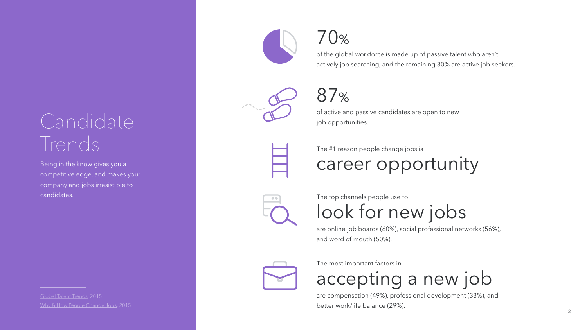### Candidate Trends

Being in the know gives you a competitive edge, and makes your company and jobs irresistible to candidates.

[Global Talent Trends,](https://business.linkedin.com/talent-solutions/resources/recruiting-tips/talent-trends-global) 2015 [Why & How People Change Jobs](https://business.linkedin.com/talent-solutions/resources/job-trends/job-seeker-trends-why-and-how-people-change-jobs-global), 2015





of the global workforce is made up of passive talent who aren't actively job searching, and the remaining 30% are active job seekers.



#### 87 %

of active and passive candidates are open to new job opportunities.



The #1 reason people change jobs is

career opportunity



The top channels people use to

look for new jobs

are online job boards (60%), social professional networks (56%), and word of mouth (50%).



The most important factors in

accepting a new job

are compensation (49%), professional development (33%), and better work/life balance (29%).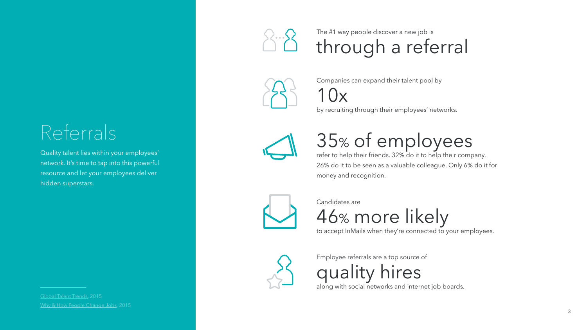#### Referrals

Quality talent lies within your employees' network. It's time to tap into this powerful resource and let your employees deliver hidden superstars.

[Why & How People Change Jobs](https://business.linkedin.com/talent-solutions/resources/job-trends/job-seeker-trends-why-and-how-people-change-jobs-global), 2015



The #1 way people discover a new job is through a referral



Companies can expand their talent pool by

 $\vert$  ( )  $\vert$ 

by recruiting through their employees' networks.



#### 35 % of employees

refer to help their friends. 32% do it to help their company. 26% do it to be seen as a valuable colleague. Only 6% do it for money and recognition.



Candidates are

46 % more likely

to accept InMails when they're connected to your employees.



Employee referrals are a top source of

quality hires

along with social networks and internet job boards.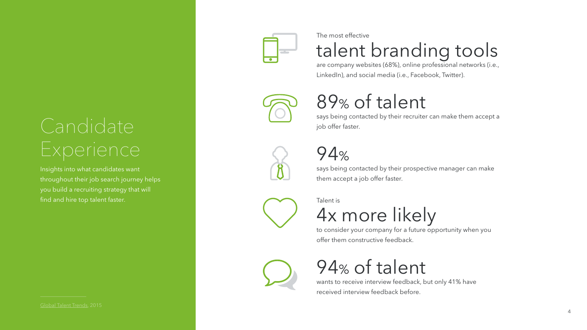# Candidate

Insights into what candidates want throughout their job search journey helps you build a recruiting strategy that will find and hire top talent faster.



The most effective

talent branding tools

are company websites (68%), online professional networks (i.e., LinkedIn), and social media (i.e., Facebook, Twitter).



#### 89 % of talent

says being contacted by their recruiter can make them accept a job offer faster.



94 %

says being contacted by their prospective manager can make them accept a job offer faster.



Talent is



to consider your company for a future opportunity when you offer them constructive feedback.



94 % of talent

wants to receive interview feedback, but only 41% have received interview feedback before.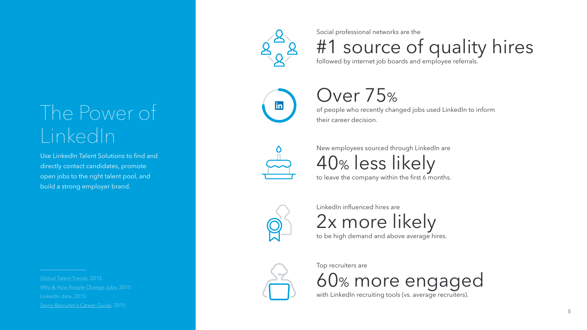## The Power of LinkedIn

Use LinkedIn Talent Solutions to find and directly contact candidates, promote open jobs to the right talent pool, and build a strong employer brand.

[Global Talent Trends,](https://business.linkedin.com/talent-solutions/resources/recruiting-tips/talent-trends-global) 2015 [Savvy Recruiter's Career Guide,](https://business.linkedin.com/talent-solutions/c/15/5/ebook-savvy-recruiters-career-guide) 2015



Social professional networks are the

#1 source of quality hires

followed by internet job boards and employee referrals.



#### Over 75 %

of people who recently changed jobs used LinkedIn to inform their career decision.



New employees sourced through LinkedIn are 40 % less likely

to leave the company within the first 6 months.



LinkedIn influenced hires are

2x more likely to be high demand and above average hires.



Top recruiters are 60 % more engaged with LinkedIn recruiting tools (vs. average recruiters).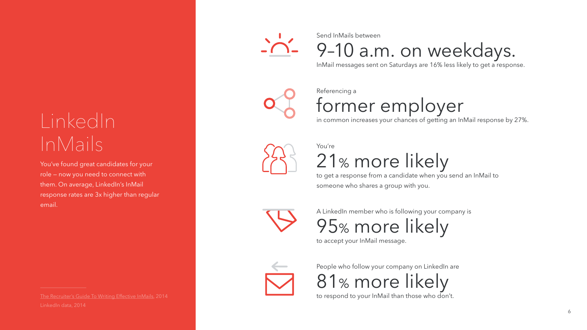## LinkedIn InMails

You've found great candidates for your role — now you need to connect with them. On average, LinkedIn's InMail response rates are 3x higher than regular email.

[The Recruiter's Guide To Writing Effective InMails,](https://business.linkedin.com/talent-solutions/c/14/7/the-recruiters-guide-to-writing-effective-linkedIn-inmails) 2014



Send InMails between

9–10 a.m. on weekdays.

InMail messages sent on Saturdays are 16% less likely to get a response.



Referencing a former employer

in common increases your chances of getting an InMail response by 27%.



You're

21 % more likely

to get a response from a candidate when you send an InMail to someone who shares a group with you.



A LinkedIn member who is following your company is

95 % more likely

to accept your InMail message.



People who follow your company on LinkedIn are 81 % more likely

to respond to your InMail than those who don't.